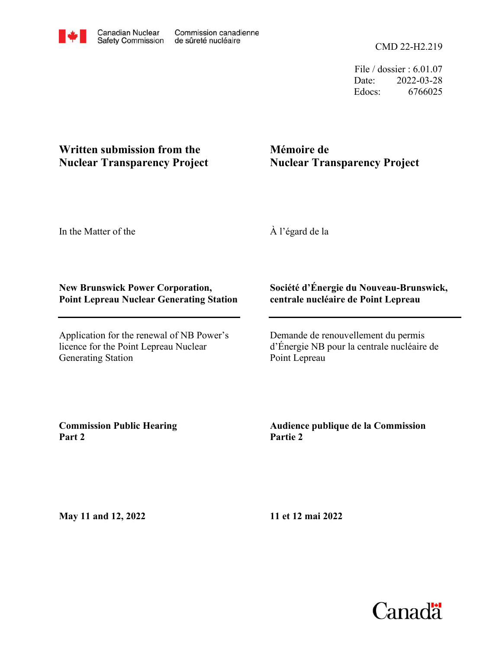File / dossier : 6.01.07 Date: 2022-03-28 Edocs: 6766025

## **Written submission from the Nuclear Transparency Project**

# **Mémoire de Nuclear Transparency Project**

In the Matter of the

À l'égard de la

### **New Brunswick Power Corporation, Point Lepreau Nuclear Generating Station**

Application for the renewal of NB Power's licence for the Point Lepreau Nuclear Generating Station

#### **Société d'Énergie du Nouveau-Brunswick, centrale nucléaire de Point Lepreau**

Demande de renouvellement du permis d'Énergie NB pour la centrale nucléaire de Point Lepreau

**Commission Public Hearing Part 2**

### **Audience publique de la Commission Partie 2**

**May 11 and 12, 2022**

**11 et 12 mai 2022**

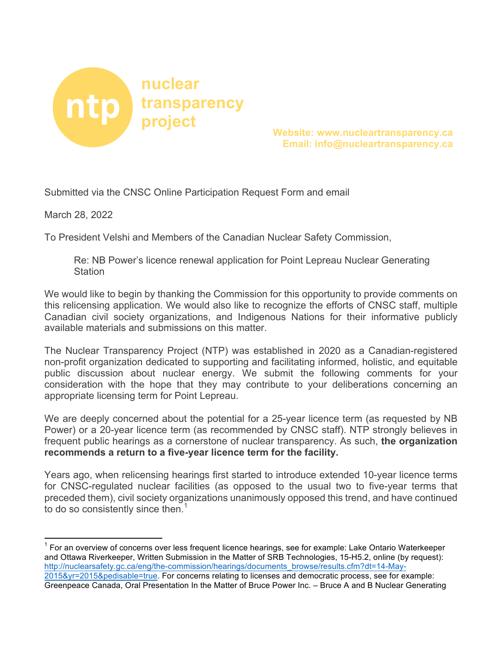

**project Website: www.nucleartransparency.ca Email: info@nucleartransparency.ca** 

Submitted via the CNSC Online Participation Request Form and email

March 28, 2022

To President Velshi and Members of the Canadian Nuclear Safety Commission,

Re: NB Power's licence renewal application for Point Lepreau Nuclear Generating **Station** 

We would like to begin by thanking the Commission for this opportunity to provide comments on this relicensing application. We would also like to recognize the efforts of CNSC staff, multiple Canadian civil society organizations, and Indigenous Nations for their informative publicly available materials and submissions on this matter.

The Nuclear Transparency Project (NTP) was established in 2020 as a Canadian-registered non-profit organization dedicated to supporting and facilitating informed, holistic, and equitable public discussion about nuclear energy. We submit the following comments for your consideration with the hope that they may contribute to your deliberations concerning an appropriate licensing term for Point Lepreau.

We are deeply concerned about the potential for a 25-year licence term (as requested by NB Power) or a 20-year licence term (as recommended by CNSC staff). NTP strongly believes in frequent public hearings as a cornerstone of nuclear transparency. As such, **the organization recommends a return to a five-year licence term for the facility.**

Years ago, when relicensing hearings first started to introduce extended 10-year licence terms for CNSC-regulated nuclear facilities (as opposed to the usual two to five-year terms that preceded them), civil society organizations unanimously opposed this trend, and have continued to do so consistently since then. $1$ 

 $1$  For an overview of concerns over less frequent licence hearings, see for example: Lake Ontario Waterkeeper and Ottawa Riverkeeper, Written Submission in the Matter of SRB Technologies, 15-H5.2, online (by request): http://nuclearsafety.gc.ca/eng/the-commission/hearings/documents\_browse/results.cfm?dt=14-May-2015&yr=2015&pedisable=true. For concerns relating to licenses and democratic process, see for example: Greenpeace Canada, Oral Presentation In the Matter of Bruce Power Inc. – Bruce A and B Nuclear Generating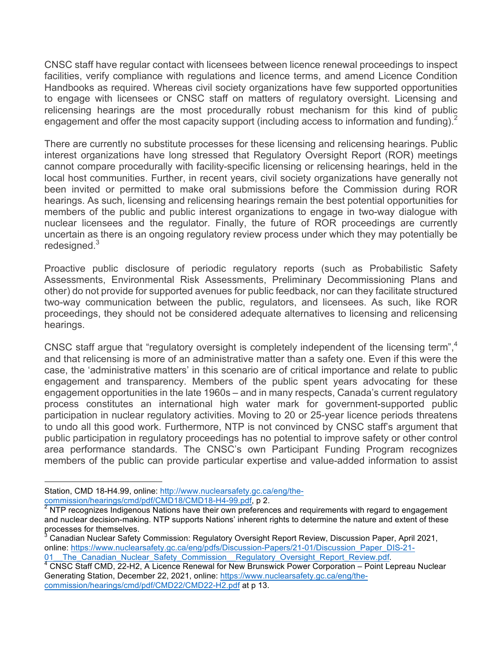CNSC staff have regular contact with licensees between licence renewal proceedings to inspect facilities, verify compliance with regulations and licence terms, and amend Licence Condition Handbooks as required. Whereas civil society organizations have few supported opportunities to engage with licensees or CNSC staff on matters of regulatory oversight. Licensing and relicensing hearings are the most procedurally robust mechanism for this kind of public engagement and offer the most capacity support (including access to information and funding).<sup>2</sup>

There are currently no substitute processes for these licensing and relicensing hearings. Public interest organizations have long stressed that Regulatory Oversight Report (ROR) meetings cannot compare procedurally with facility-specific licensing or relicensing hearings, held in the local host communities. Further, in recent years, civil society organizations have generally not been invited or permitted to make oral submissions before the Commission during ROR hearings. As such, licensing and relicensing hearings remain the best potential opportunities for members of the public and public interest organizations to engage in two-way dialogue with nuclear licensees and the regulator. Finally, the future of ROR proceedings are currently uncertain as there is an ongoing regulatory review process under which they may potentially be redesigned.<sup>3</sup>

Proactive public disclosure of periodic regulatory reports (such as Probabilistic Safety Assessments, Environmental Risk Assessments, Preliminary Decommissioning Plans and other) do not provide for supported avenues for public feedback, nor can they facilitate structured two-way communication between the public, regulators, and licensees. As such, like ROR proceedings, they should not be considered adequate alternatives to licensing and relicensing hearings.

CNSC staff argue that "regulatory oversight is completely independent of the licensing term", 4 and that relicensing is more of an administrative matter than a safety one. Even if this were the case, the 'administrative matters' in this scenario are of critical importance and relate to public engagement and transparency. Members of the public spent years advocating for these engagement opportunities in the late 1960s – and in many respects, Canada's current regulatory process constitutes an international high water mark for government-supported public participation in nuclear regulatory activities. Moving to 20 or 25-year licence periods threatens to undo all this good work. Furthermore, NTP is not convinced by CNSC staff's argument that public participation in regulatory proceedings has no potential to improve safety or other control area performance standards. The CNSC's own Participant Funding Program recognizes members of the public can provide particular expertise and value-added information to assist

 

Station, CMD 18-H4.99, online: http://www.nuclearsafety.gc.ca/eng/the-commission/hearings/cmd/pdf/CMD18/CMD18-H4-99.pdf, p 2.

NTP recognizes Indigenous Nations have their own preferences and requirements with regard to engagement and nuclear decision-making. NTP supports Nations' inherent rights to determine the nature and extent of these processes for themselves.<br><sup>3</sup> Canadian Nuclear Safety Commission: Regulatory Oversight Report Review, Discussion Paper, April 2021,

online: https://www.nuclearsafety.gc.ca/eng/pdfs/Discussion-Papers/21-01/Discussion\_Paper\_DIS-21-<br>01\_The\_Canadian\_Nuclear\_Safety\_Commission\_Regulatory\_Oversight\_Report\_Review.pdf.

 $4$  CNSC Staff CMD, 22-H2, A Licence Renewal for New Brunswick Power Corporation – Point Lepreau Nuclear Generating Station, December 22, 2021, online: https://www.nuclearsafety.gc.ca/eng/thecommission/hearings/cmd/pdf/CMD22/CMD22-H2.pdf at p 13.